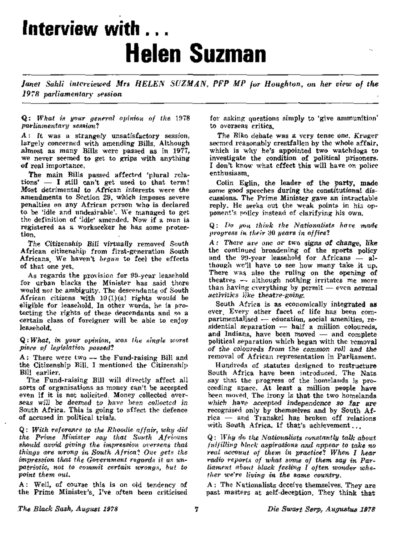# **Interview with ... Helen Suzman**

*Janet Sahli interviewed Mrs HELEN SUZMAN, PFP MP for Houghton, on her view of the I9?B parliamentary session* 

Q: *What is your general opinion of the* 1978 *parliamentary sessional* 

A : It was a strangely unsatisfactory session, largely concerned with amending Bills. Although almost as many Bills were passed as in 1977, we never seemed to get to grips with anything of real importance.

The main Bills passed affected 'plural relations' — I still can't get used to that term! Most detrimental to African interests were the amendments to Section 29, which imposes severe penalties on any African person who is declared to be 'idle and undesirable'. We managed to get the definition of 'idle\* amended. Now if a man is registered as a workseeker he has some protection.

The Citizenship Bill virtually removed South African citizenship from first-generation South Africans, We haven't *begun* to feel the effects of that one yet.

As regards the provision for 99-year leasehold for urban blacks the Minister has said there would *not* be ambiguity. The descendants of South African citizens with 10(l)(a) rights would be eligible for leasehold. In other words, he is protecting the rights of these descendants and so a certain class of foreigner will be able to enjoy leasehold.

Q: *What, in your opinion, wan the single worst piece of legislation passed?* 

A: There were two — the Fund-raising Bill and the Citizenship Bill. I mentioned the Citizenship Bill earlier.

The Fund-raising Bill will directly affect all sorts of organisations as money can't be accepted even if it is not solicited. Money collected overseas will be deemed to have been collected in South Africa. This is going to affect the defence of accused in political trials.

Q: *With reference to the Rhoodie affair, why did the Prime Minister say that South Africans should avoid giving the impression, overseas that things are wrong in South Africa? One gets the impression tliat the Government regards it* as *unpatriotic, not to commit certain wrongs, but to point them out.* 

A: Well, of course this is on old tendency of the Prime Minister's. I've often been criticised for asking questions simply to 'give ammunition' to overseas critics.

The Biko debate was a very tense one. Kruger seemed reasonably crestfallen by the whole affair, which is why he's appointed two watchdogs to investigate the condition of political prisoners. I don't know what effect this will have on police enthusiasm.

Colin Eglin, the leader of the party, made some good speeches during the constitutional discussions. The Prime Minister gave an intractable reply. He seeks out the weak points in his opponent's policy instead of clarifying his own.

Q: *Do you think the Nationalists have made progress in, their 'SO years in office?* 

A: There are one or two signs of change, like the continued broadening of the sports policy and the 99-year leasehold for Africans — although we'll have to see how many take it up. There was also the ruling on the opening of theatres — although nothing irritates me more than having everything by permit — even normal activities like theatre-going.

South Africa is as economically integrated as ever. Every other facet of life has been compartmentalised — education, social amenities, residential separation  $-$  half a million coloureds, and Indians, have been moved — and complete political separation which began with the removal of the coloureds from the common roll and the removal of African representation in Parliament.

Hundreds of statutes designed to restructure-South Africa have been introduced. The Nats say that the progress of the homelands is proceeding apace. At least a million people have been moved. The irony is that the two homelands which have accepted independence so far are recognised only by themselves and by South Africa — and Transkei has broken off relations with South Africa. If that's achievement...

Q: *Why do tlie Nationalists constantly talk about fulfilling Mack aspirations and appear to take no real account of them in practice''. When I hear radio reports of what some of them say in Parliament about black feeling I often wonder whether we're living in the same country.* 

 $A$ : The Nationalist<sub>s</sub> deceive themselves. They are past masters at self-deception. They think that